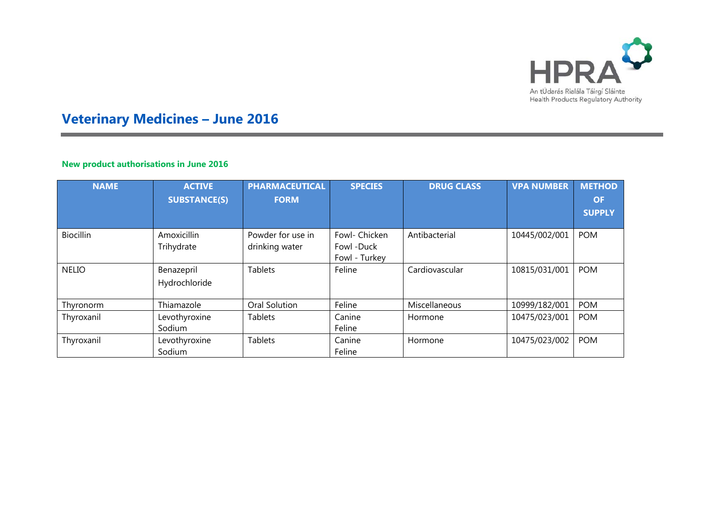

# **Veterinary Medicines – June 2016**

## **New product authorisations in June 2016**

×

| <b>NAME</b>      | <b>ACTIVE</b><br><b>SUBSTANCE(S)</b> | <b>PHARMACEUTICAL</b><br><b>FORM</b> | <b>SPECIES</b>                               | <b>DRUG CLASS</b> | <b>VPA NUMBER</b> | <b>METHOD</b><br><b>OF</b><br><b>SUPPLY</b> |
|------------------|--------------------------------------|--------------------------------------|----------------------------------------------|-------------------|-------------------|---------------------------------------------|
| <b>Biocillin</b> | Amoxicillin<br>Trihydrate            | Powder for use in<br>drinking water  | Fowl- Chicken<br>Fowl -Duck<br>Fowl - Turkey | Antibacterial     | 10445/002/001     | <b>POM</b>                                  |
| <b>NELIO</b>     | Benazepril<br>Hydrochloride          | <b>Tablets</b>                       | Feline                                       | Cardiovascular    | 10815/031/001     | <b>POM</b>                                  |
| Thyronorm        | Thiamazole                           | Oral Solution                        | Feline                                       | Miscellaneous     | 10999/182/001     | <b>POM</b>                                  |
| Thyroxanil       | Levothyroxine<br>Sodium              | <b>Tablets</b>                       | Canine<br>Feline                             | Hormone           | 10475/023/001     | <b>POM</b>                                  |
| Thyroxanil       | Levothyroxine<br>Sodium              | <b>Tablets</b>                       | Canine<br>Feline                             | Hormone           | 10475/023/002     | <b>POM</b>                                  |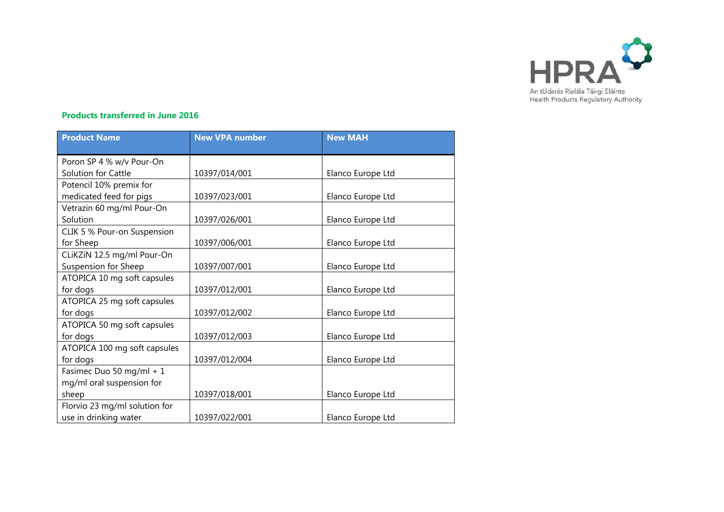

### **Products transferred in June 2016**

| <b>Product Name</b>           | <b>New VPA number</b> | <b>New MAH</b>    |
|-------------------------------|-----------------------|-------------------|
| Poron SP 4 % w/v Pour-On      |                       |                   |
| Solution for Cattle           | 10397/014/001         | Elanco Europe Ltd |
| Potencil 10% premix for       |                       |                   |
| medicated feed for pigs       | 10397/023/001         | Elanco Europe Ltd |
| Vetrazin 60 mg/ml Pour-On     |                       |                   |
| Solution                      | 10397/026/001         | Elanco Europe Ltd |
| CLIK 5 % Pour-on Suspension   |                       |                   |
| for Sheep                     | 10397/006/001         | Elanco Europe Ltd |
| CLiKZiN 12.5 mg/ml Pour-On    |                       |                   |
| Suspension for Sheep          | 10397/007/001         | Elanco Europe Ltd |
| ATOPICA 10 mg soft capsules   |                       |                   |
| for dogs                      | 10397/012/001         | Elanco Europe Ltd |
| ATOPICA 25 mg soft capsules   |                       |                   |
| for dogs                      | 10397/012/002         | Elanco Europe Ltd |
| ATOPICA 50 mg soft capsules   |                       |                   |
| for dogs                      | 10397/012/003         | Elanco Europe Ltd |
| ATOPICA 100 mg soft capsules  |                       |                   |
| for dogs                      | 10397/012/004         | Elanco Europe Ltd |
| Fasimec Duo 50 mg/ml + 1      |                       |                   |
| mg/ml oral suspension for     |                       |                   |
| sheep                         | 10397/018/001         | Elanco Europe Ltd |
| Florvio 23 mg/ml solution for |                       |                   |
| use in drinking water         | 10397/022/001         | Elanco Europe Ltd |